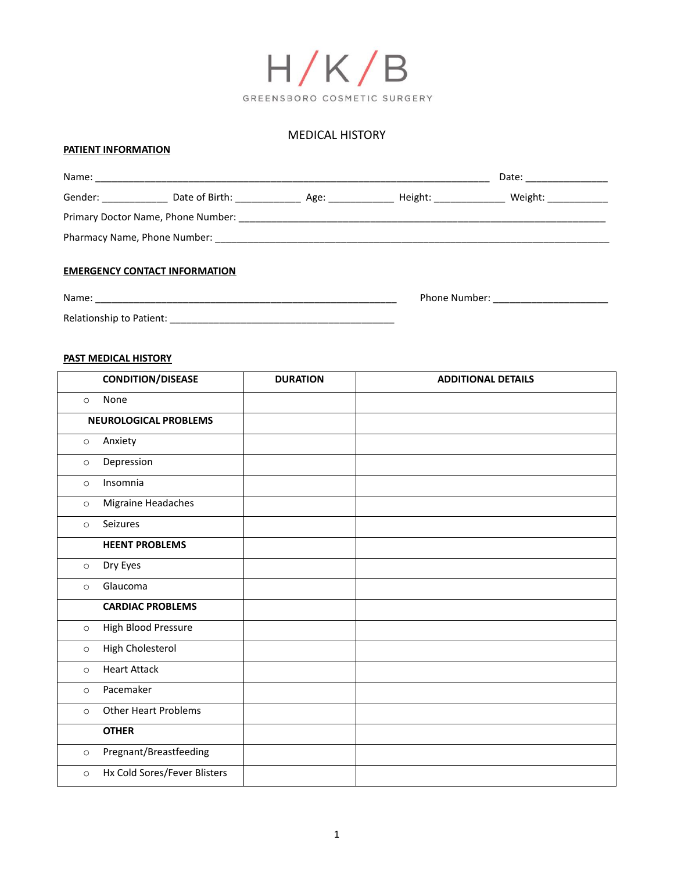

# MEDICAL HISTORY

# **PATIENT INFORMATION**

|                          |                                      |  | Date: ______________ |  |
|--------------------------|--------------------------------------|--|----------------------|--|
|                          |                                      |  |                      |  |
|                          |                                      |  |                      |  |
|                          |                                      |  |                      |  |
|                          | <b>EMERGENCY CONTACT INFORMATION</b> |  |                      |  |
|                          |                                      |  |                      |  |
| Relationship to Patient: |                                      |  |                      |  |

# **PAST MEDICAL HISTORY**

|         | <b>CONDITION/DISEASE</b>     | <b>DURATION</b> | <b>ADDITIONAL DETAILS</b> |
|---------|------------------------------|-----------------|---------------------------|
| $\circ$ | None                         |                 |                           |
|         | <b>NEUROLOGICAL PROBLEMS</b> |                 |                           |
| $\circ$ | Anxiety                      |                 |                           |
| $\circ$ | Depression                   |                 |                           |
| $\circ$ | Insomnia                     |                 |                           |
| $\circ$ | Migraine Headaches           |                 |                           |
| $\circ$ | Seizures                     |                 |                           |
|         | <b>HEENT PROBLEMS</b>        |                 |                           |
| $\circ$ | Dry Eyes                     |                 |                           |
| $\circ$ | Glaucoma                     |                 |                           |
|         | <b>CARDIAC PROBLEMS</b>      |                 |                           |
| $\circ$ | High Blood Pressure          |                 |                           |
| $\circ$ | High Cholesterol             |                 |                           |
| $\circ$ | <b>Heart Attack</b>          |                 |                           |
| $\circ$ | Pacemaker                    |                 |                           |
| $\circ$ | <b>Other Heart Problems</b>  |                 |                           |
|         | <b>OTHER</b>                 |                 |                           |
| $\circ$ | Pregnant/Breastfeeding       |                 |                           |
| $\circ$ | Hx Cold Sores/Fever Blisters |                 |                           |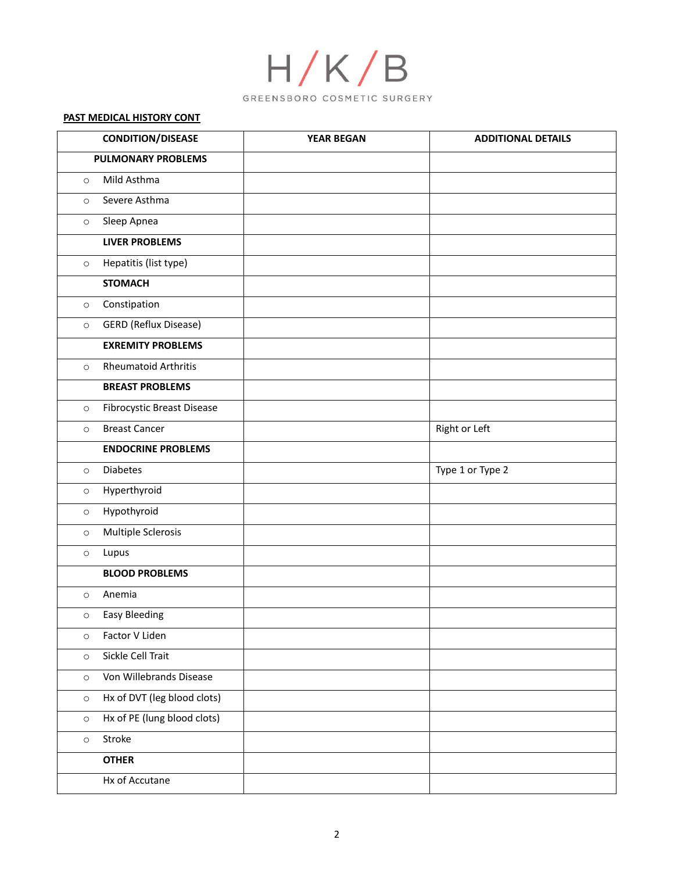

# **PAST MEDICAL HISTORY CONT**

| <b>CONDITION/DISEASE</b> |                                   | <b>YEAR BEGAN</b> | <b>ADDITIONAL DETAILS</b> |
|--------------------------|-----------------------------------|-------------------|---------------------------|
|                          | <b>PULMONARY PROBLEMS</b>         |                   |                           |
| $\circ$                  | Mild Asthma                       |                   |                           |
| $\circ$                  | Severe Asthma                     |                   |                           |
| $\circ$                  | Sleep Apnea                       |                   |                           |
|                          | <b>LIVER PROBLEMS</b>             |                   |                           |
| $\circ$                  | Hepatitis (list type)             |                   |                           |
|                          | <b>STOMACH</b>                    |                   |                           |
| $\circ$                  | Constipation                      |                   |                           |
| $\circ$                  | <b>GERD</b> (Reflux Disease)      |                   |                           |
|                          | <b>EXREMITY PROBLEMS</b>          |                   |                           |
| $\circ$                  | <b>Rheumatoid Arthritis</b>       |                   |                           |
|                          | <b>BREAST PROBLEMS</b>            |                   |                           |
| $\circ$                  | <b>Fibrocystic Breast Disease</b> |                   |                           |
| $\circ$                  | <b>Breast Cancer</b>              |                   | Right or Left             |
|                          | <b>ENDOCRINE PROBLEMS</b>         |                   |                           |
| $\circ$                  | Diabetes                          |                   | Type 1 or Type 2          |
| $\circ$                  | Hyperthyroid                      |                   |                           |
| $\circ$                  | Hypothyroid                       |                   |                           |
| $\circ$                  | Multiple Sclerosis                |                   |                           |
| $\circ$                  | Lupus                             |                   |                           |
|                          | <b>BLOOD PROBLEMS</b>             |                   |                           |
| $\circ$                  | Anemia                            |                   |                           |
| $\circ$                  | <b>Easy Bleeding</b>              |                   |                           |
| $\circ$                  | Factor V Liden                    |                   |                           |
| $\circ$                  | Sickle Cell Trait                 |                   |                           |
| $\circ$                  | Von Willebrands Disease           |                   |                           |
| $\circ$                  | Hx of DVT (leg blood clots)       |                   |                           |
| $\circ$                  | Hx of PE (lung blood clots)       |                   |                           |
| $\circ$                  | Stroke                            |                   |                           |
|                          | <b>OTHER</b>                      |                   |                           |
|                          | Hx of Accutane                    |                   |                           |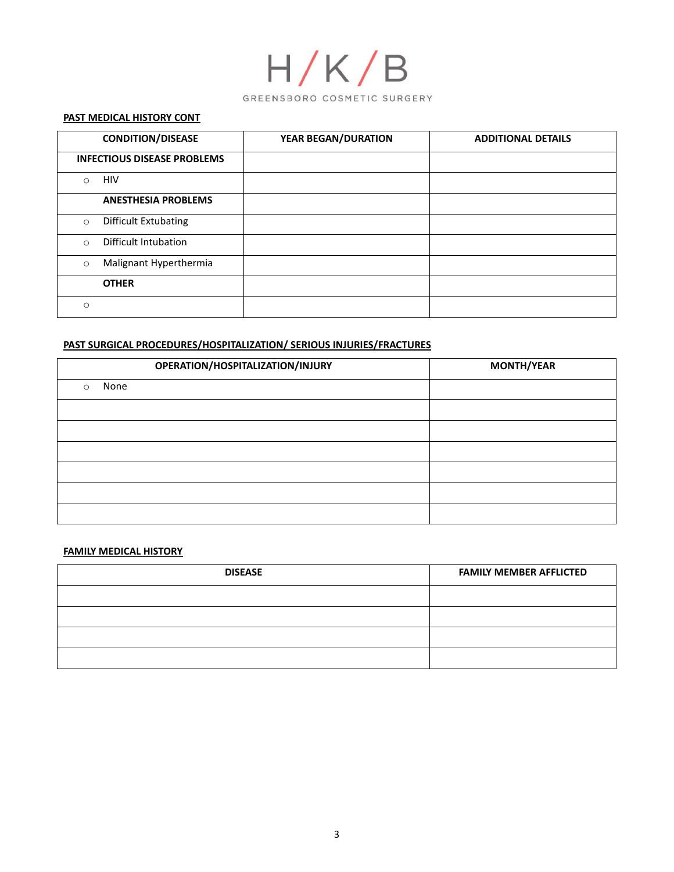

#### **PAST MEDICAL HISTORY CONT**

|          | <b>CONDITION/DISEASE</b>           | <b>YEAR BEGAN/DURATION</b> | <b>ADDITIONAL DETAILS</b> |
|----------|------------------------------------|----------------------------|---------------------------|
|          | <b>INFECTIOUS DISEASE PROBLEMS</b> |                            |                           |
| $\circ$  | <b>HIV</b>                         |                            |                           |
|          | <b>ANESTHESIA PROBLEMS</b>         |                            |                           |
| $\circ$  | <b>Difficult Extubating</b>        |                            |                           |
| $\Omega$ | Difficult Intubation               |                            |                           |
| $\circ$  | Malignant Hyperthermia             |                            |                           |
|          | <b>OTHER</b>                       |                            |                           |
| $\circ$  |                                    |                            |                           |

# **PAST SURGICAL PROCEDURES/HOSPITALIZATION/ SERIOUS INJURIES/FRACTURES**

| OPERATION/HOSPITALIZATION/INJURY | <b>MONTH/YEAR</b> |
|----------------------------------|-------------------|
| None<br>$\circ$                  |                   |
|                                  |                   |
|                                  |                   |
|                                  |                   |
|                                  |                   |
|                                  |                   |
|                                  |                   |

# **FAMILY MEDICAL HISTORY**

| <b>DISEASE</b> | <b>FAMILY MEMBER AFFLICTED</b> |
|----------------|--------------------------------|
|                |                                |
|                |                                |
|                |                                |
|                |                                |